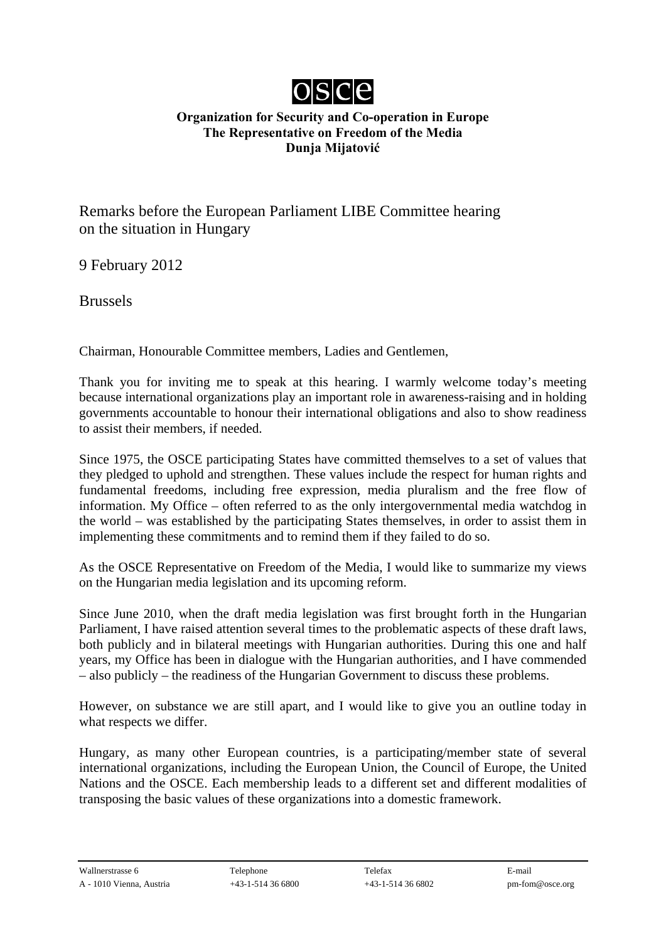

## **Organization for Security and Co-operation in Europe The Representative on Freedom of the Media Dunja Mijatović**

Remarks before the European Parliament LIBE Committee hearing on the situation in Hungary

9 February 2012

Brussels

Chairman, Honourable Committee members, Ladies and Gentlemen,

Thank you for inviting me to speak at this hearing. I warmly welcome today's meeting because international organizations play an important role in awareness-raising and in holding governments accountable to honour their international obligations and also to show readiness to assist their members, if needed.

Since 1975, the OSCE participating States have committed themselves to a set of values that they pledged to uphold and strengthen. These values include the respect for human rights and fundamental freedoms, including free expression, media pluralism and the free flow of information. My Office – often referred to as the only intergovernmental media watchdog in the world – was established by the participating States themselves, in order to assist them in implementing these commitments and to remind them if they failed to do so.

As the OSCE Representative on Freedom of the Media, I would like to summarize my views on the Hungarian media legislation and its upcoming reform.

Since June 2010, when the draft media legislation was first brought forth in the Hungarian Parliament, I have raised attention several times to the problematic aspects of these draft laws, both publicly and in bilateral meetings with Hungarian authorities. During this one and half years, my Office has been in dialogue with the Hungarian authorities, and I have commended – also publicly – the readiness of the Hungarian Government to discuss these problems.

However, on substance we are still apart, and I would like to give you an outline today in what respects we differ.

Hungary, as many other European countries, is a participating/member state of several international organizations, including the European Union, the Council of Europe, the United Nations and the OSCE. Each membership leads to a different set and different modalities of transposing the basic values of these organizations into a domestic framework.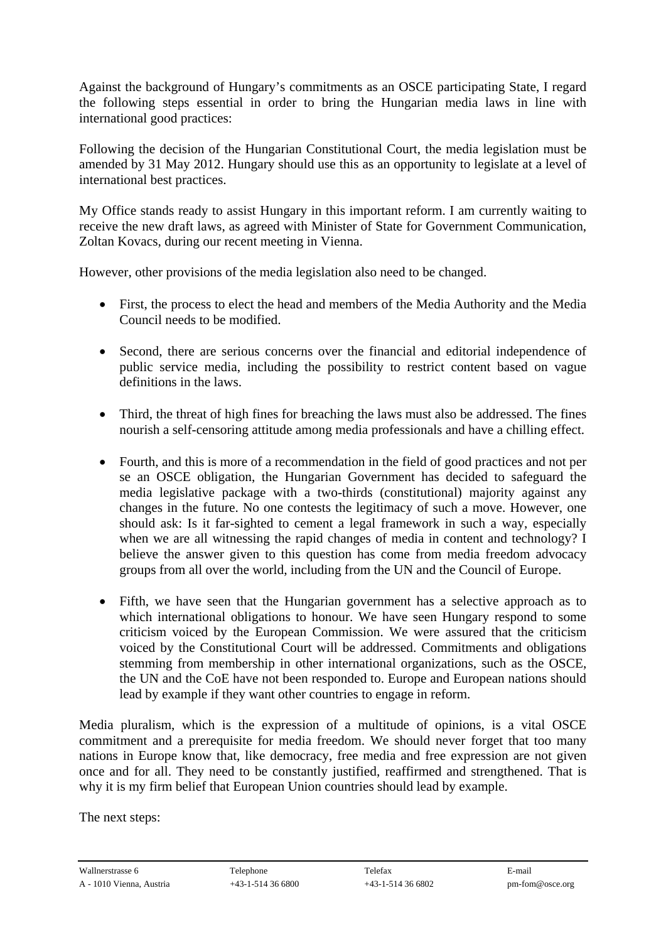Against the background of Hungary's commitments as an OSCE participating State, I regard the following steps essential in order to bring the Hungarian media laws in line with international good practices:

Following the decision of the Hungarian Constitutional Court, the media legislation must be amended by 31 May 2012. Hungary should use this as an opportunity to legislate at a level of international best practices.

My Office stands ready to assist Hungary in this important reform. I am currently waiting to receive the new draft laws, as agreed with Minister of State for Government Communication, Zoltan Kovacs, during our recent meeting in Vienna.

However, other provisions of the media legislation also need to be changed.

- First, the process to elect the head and members of the Media Authority and the Media Council needs to be modified.
- Second, there are serious concerns over the financial and editorial independence of public service media, including the possibility to restrict content based on vague definitions in the laws.
- Third, the threat of high fines for breaching the laws must also be addressed. The fines nourish a self-censoring attitude among media professionals and have a chilling effect.
- Fourth, and this is more of a recommendation in the field of good practices and not per se an OSCE obligation, the Hungarian Government has decided to safeguard the media legislative package with a two-thirds (constitutional) majority against any changes in the future. No one contests the legitimacy of such a move. However, one should ask: Is it far-sighted to cement a legal framework in such a way, especially when we are all witnessing the rapid changes of media in content and technology? I believe the answer given to this question has come from media freedom advocacy groups from all over the world, including from the UN and the Council of Europe.
- Fifth, we have seen that the Hungarian government has a selective approach as to which international obligations to honour. We have seen Hungary respond to some criticism voiced by the European Commission. We were assured that the criticism voiced by the Constitutional Court will be addressed. Commitments and obligations stemming from membership in other international organizations, such as the OSCE, the UN and the CoE have not been responded to. Europe and European nations should lead by example if they want other countries to engage in reform.

Media pluralism, which is the expression of a multitude of opinions, is a vital OSCE commitment and a prerequisite for media freedom. We should never forget that too many nations in Europe know that, like democracy, free media and free expression are not given once and for all. They need to be constantly justified, reaffirmed and strengthened. That is why it is my firm belief that European Union countries should lead by example.

The next steps: